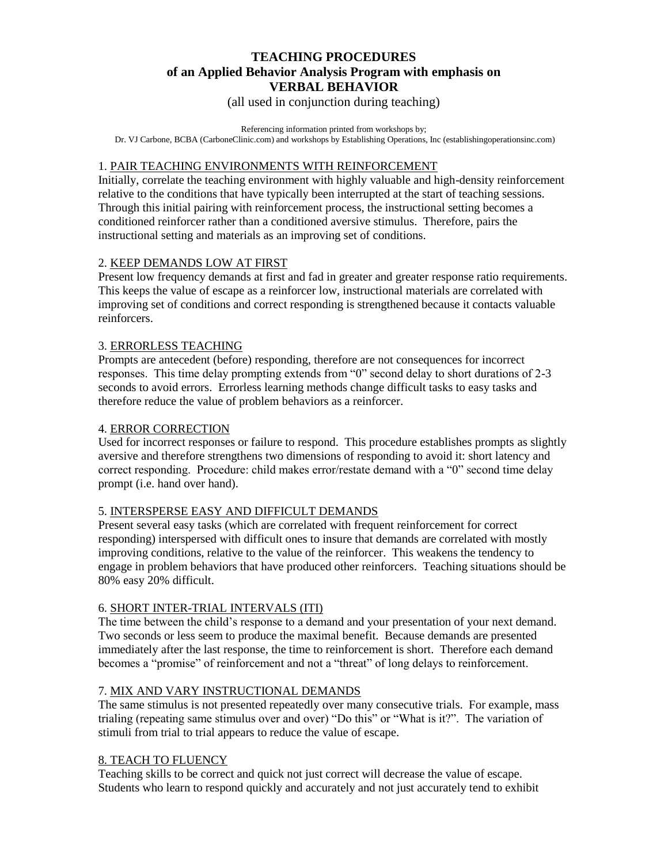# **TEACHING PROCEDURES of an Applied Behavior Analysis Program with emphasis on VERBAL BEHAVIOR**

(all used in conjunction during teaching)

Referencing information printed from workshops by;

Dr. VJ Carbone, BCBA (CarboneClinic.com) and workshops by Establishing Operations, Inc (establishingoperationsinc.com)

### 1. PAIR TEACHING ENVIRONMENTS WITH REINFORCEMENT

Initially, correlate the teaching environment with highly valuable and high-density reinforcement relative to the conditions that have typically been interrupted at the start of teaching sessions. Through this initial pairing with reinforcement process, the instructional setting becomes a conditioned reinforcer rather than a conditioned aversive stimulus. Therefore, pairs the instructional setting and materials as an improving set of conditions.

### 2. KEEP DEMANDS LOW AT FIRST

Present low frequency demands at first and fad in greater and greater response ratio requirements. This keeps the value of escape as a reinforcer low, instructional materials are correlated with improving set of conditions and correct responding is strengthened because it contacts valuable reinforcers.

### 3. ERRORLESS TEACHING

Prompts are antecedent (before) responding, therefore are not consequences for incorrect responses. This time delay prompting extends from "0" second delay to short durations of 2-3 seconds to avoid errors. Errorless learning methods change difficult tasks to easy tasks and therefore reduce the value of problem behaviors as a reinforcer.

### 4. ERROR CORRECTION

Used for incorrect responses or failure to respond. This procedure establishes prompts as slightly aversive and therefore strengthens two dimensions of responding to avoid it: short latency and correct responding. Procedure: child makes error/restate demand with a "0" second time delay prompt (i.e. hand over hand).

#### 5. INTERSPERSE EASY AND DIFFICULT DEMANDS

Present several easy tasks (which are correlated with frequent reinforcement for correct responding) interspersed with difficult ones to insure that demands are correlated with mostly improving conditions, relative to the value of the reinforcer. This weakens the tendency to engage in problem behaviors that have produced other reinforcers. Teaching situations should be 80% easy 20% difficult.

# 6. SHORT INTER-TRIAL INTERVALS (ITI)

The time between the child's response to a demand and your presentation of your next demand. Two seconds or less seem to produce the maximal benefit. Because demands are presented immediately after the last response, the time to reinforcement is short. Therefore each demand becomes a "promise" of reinforcement and not a "threat" of long delays to reinforcement.

#### 7. MIX AND VARY INSTRUCTIONAL DEMANDS

The same stimulus is not presented repeatedly over many consecutive trials. For example, mass trialing (repeating same stimulus over and over) "Do this" or "What is it?". The variation of stimuli from trial to trial appears to reduce the value of escape.

#### 8. TEACH TO FLUENCY

Teaching skills to be correct and quick not just correct will decrease the value of escape. Students who learn to respond quickly and accurately and not just accurately tend to exhibit